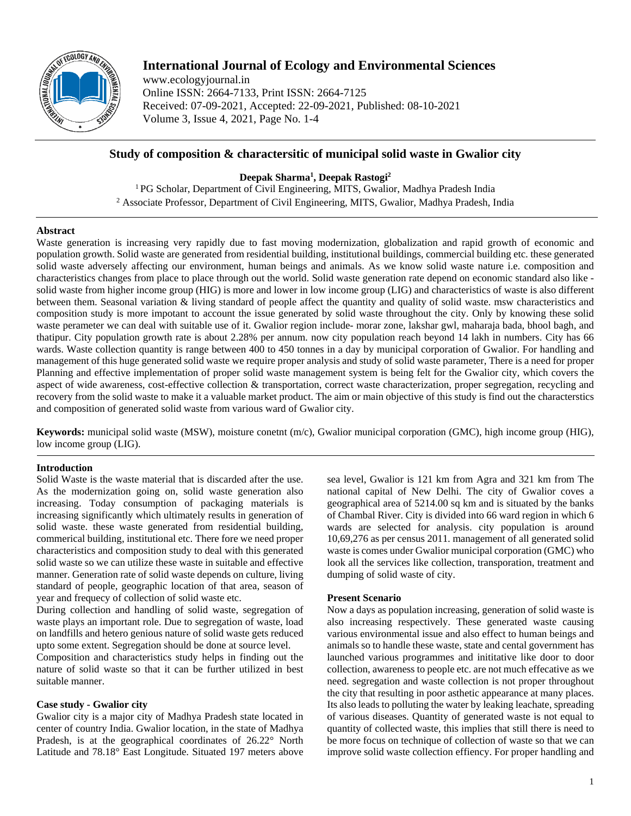

# **International Journal of Ecology and Environmental Sciences**

www.ecologyjournal.in Online ISSN: 2664-7133, Print ISSN: 2664-7125 Received: 07-09-2021, Accepted: 22-09-2021, Published: 08-10-2021 Volume 3, Issue 4, 2021, Page No. 1-4

## **Study of composition & charactersitic of municipal solid waste in Gwalior city**

**Deepak Sharma1 , Deepak Rastogi2**

<sup>1</sup> PG Scholar, Department of Civil Engineering, MITS, Gwalior, Madhya Pradesh India <sup>2</sup> Associate Professor, Department of Civil Engineering, MITS, Gwalior, Madhya Pradesh, India

## **Abstract**

Waste generation is increasing very rapidly due to fast moving modernization, globalization and rapid growth of economic and population growth. Solid waste are generated from residential building, institutional buildings, commercial building etc. these generated solid waste adversely affecting our environment, human beings and animals. As we know solid waste nature i.e. composition and characteristics changes from place to place through out the world. Solid waste generation rate depend on economic standard also like solid waste from higher income group (HIG) is more and lower in low income group (LIG) and characteristics of waste is also different between them. Seasonal variation & living standard of people affect the quantity and quality of solid waste. msw characteristics and composition study is more impotant to account the issue generated by solid waste throughout the city. Only by knowing these solid waste perameter we can deal with suitable use of it. Gwalior region include- morar zone, lakshar gwl, maharaja bada, bhool bagh, and thatipur. City population growth rate is about 2.28% per annum. now city population reach beyond 14 lakh in numbers. City has 66 wards. Waste collection quantity is range between 400 to 450 tonnes in a day by municipal corporation of Gwalior. For handling and management of this huge generated solid waste we require proper analysis and study of solid waste parameter, There is a need for proper Planning and effective implementation of proper solid waste management system is being felt for the Gwalior city, which covers the aspect of wide awareness, cost-effective collection & transportation, correct waste characterization, proper segregation, recycling and recovery from the solid waste to make it a valuable market product. The aim or main objective of this study is find out the characterstics and composition of generated solid waste from various ward of Gwalior city.

**Keywords:** municipal solid waste (MSW), moisture conetnt (m/c), Gwalior municipal corporation (GMC), high income group (HIG), low income group (LIG).

## **Introduction**

Solid Waste is the waste material that is discarded after the use. As the modernization going on, solid waste generation also increasing. Today consumption of packaging materials is increasing significantly which ultimately results in generation of solid waste. these waste generated from residential building, commerical building, institutional etc. There fore we need proper characteristics and composition study to deal with this generated solid waste so we can utilize these waste in suitable and effective manner. Generation rate of solid waste depends on culture, living standard of people, geographic location of that area, season of year and frequecy of collection of solid waste etc.

During collection and handling of solid waste, segregation of waste plays an important role. Due to segregation of waste, load on landfills and hetero genious nature of solid waste gets reduced upto some extent. Segregation should be done at source level.

Composition and characteristics study helps in finding out the nature of solid waste so that it can be further utilized in best suitable manner.

## **Case study - Gwalior city**

Gwalior city is a major city of Madhya Pradesh state located in center of country India. Gwalior location, in the state of Madhya Pradesh, is at the geographical coordinates of 26.22° North Latitude and 78.18° East Longitude. Situated 197 meters above

sea level, Gwalior is 121 km from Agra and 321 km from The national capital of New Delhi. The city of Gwalior coves a geographical area of 5214.00 sq km and is situated by the banks of Chambal River. City is divided into 66 ward region in which 6 wards are selected for analysis. city population is around 10,69,276 as per census 2011. management of all generated solid waste is comes under Gwalior municipal corporation (GMC) who look all the services like collection, transporation, treatment and dumping of solid waste of city.

## **Present Scenario**

Now a days as population increasing, generation of solid waste is also increasing respectively. These generated waste causing various environmental issue and also effect to human beings and animals so to handle these waste, state and cental government has launched various programmes and inititative like door to door collection, awareness to people etc. are not much effecative as we need. segregation and waste collection is not proper throughout the city that resulting in poor asthetic appearance at many places. Its also leads to polluting the water by leaking leachate, spreading of various diseases. Quantity of generated waste is not equal to quantity of collected waste, this implies that still there is need to be more focus on technique of collection of waste so that we can improve solid waste collection effiency. For proper handling and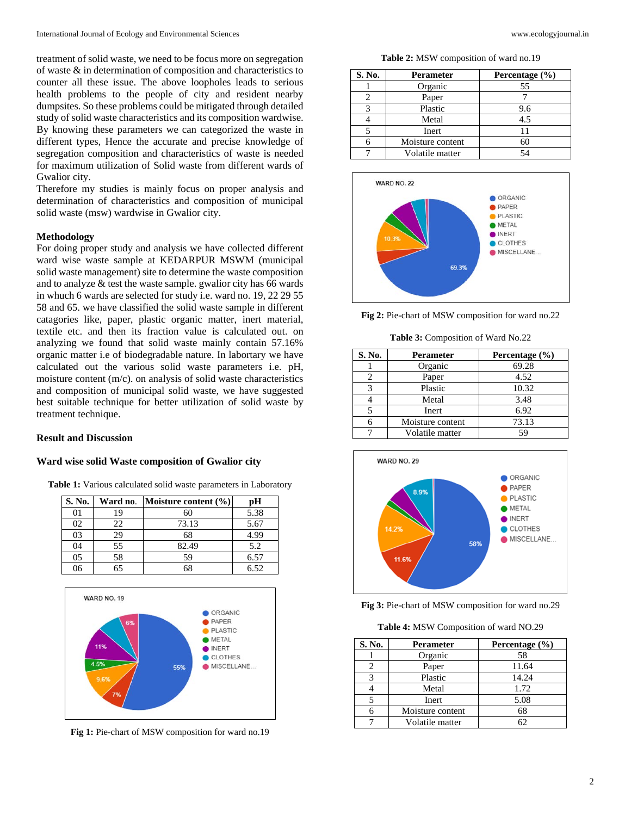treatment of solid waste, we need to be focus more on segregation of waste & in determination of composition and characteristics to counter all these issue. The above loopholes leads to serious health problems to the people of city and resident nearby dumpsites. So these problems could be mitigated through detailed study of solid waste characteristics and its composition wardwise. By knowing these parameters we can categorized the waste in different types, Hence the accurate and precise knowledge of segregation composition and characteristics of waste is needed for maximum utilization of Solid waste from different wards of Gwalior city.

Therefore my studies is mainly focus on proper analysis and determination of characteristics and composition of municipal solid waste (msw) wardwise in Gwalior city.

#### **Methodology**

For doing proper study and analysis we have collected different ward wise waste sample at KEDARPUR MSWM (municipal solid waste management) site to determine the waste composition and to analyze & test the waste sample. gwalior city has 66 wards in whuch 6 wards are selected for study i.e. ward no. 19, 22 29 55 58 and 65. we have classified the solid waste sample in different catagories like, paper, plastic organic matter, inert material, textile etc. and then its fraction value is calculated out. on analyzing we found that solid waste mainly contain 57.16% organic matter i.e of biodegradable nature. In labortary we have calculated out the various solid waste parameters i.e. pH, moisture content (m/c). on analysis of solid waste characteristics and composition of municipal solid waste, we have suggested best suitable technique for better utilization of solid waste by treatment technique.

#### **Result and Discussion**

#### **Ward wise solid Waste composition of Gwalior city**

**Table 1:** Various calculated solid waste parameters in Laboratory

| S. No. | Ward no. | Moisture content $(\% )$ | рH   |
|--------|----------|--------------------------|------|
|        | 19       | 60                       | 5.38 |
| 02     | 22       | 73.13                    | 5.67 |
| 03     | 29       | 68                       | 4.99 |
| 04     | 55       | 82.49                    | 5.2  |
| 05     | 58       | 59                       | 6.57 |
| በ6     | 65       | 68                       | 6.52 |



**Fig 1:** Pie-chart of MSW composition for ward no.19

**Table 2:** MSW composition of ward no.19

| S. No. | <b>Perameter</b> | Percentage (%) |
|--------|------------------|----------------|
|        | Organic          | 55             |
|        | Paper            |                |
| 3      | Plastic          | 9.6            |
|        | Metal            | 4.5            |
|        | Inert            | 11             |
| 6      | Moisture content | 60             |
|        | Volatile matter  | 54             |



**Fig 2:** Pie-chart of MSW composition for ward no.22

**Table 3:** Composition of Ward No.22

| S. No. | <b>Perameter</b> | Percentage (%) |
|--------|------------------|----------------|
|        | Organic          | 69.28          |
| 2      | Paper            | 4.52           |
| 3      | Plastic          | 10.32          |
|        | Metal            | 3.48           |
|        | Inert            | 6.92           |
|        | Moisture content | 73.13          |
|        | Volatile matter  | 59             |



**Fig 3:** Pie-chart of MSW composition for ward no.29

**Table 4:** MSW Composition of ward NO.29

| S. No. | Perameter        | Percentage (%) |
|--------|------------------|----------------|
|        | Organic          | 58             |
|        | Paper            | 11.64          |
| 3      | Plastic          | 14.24          |
|        | Metal            | 1.72           |
|        | Inert            | 5.08           |
|        | Moisture content | 68             |
|        | Volatile matter  |                |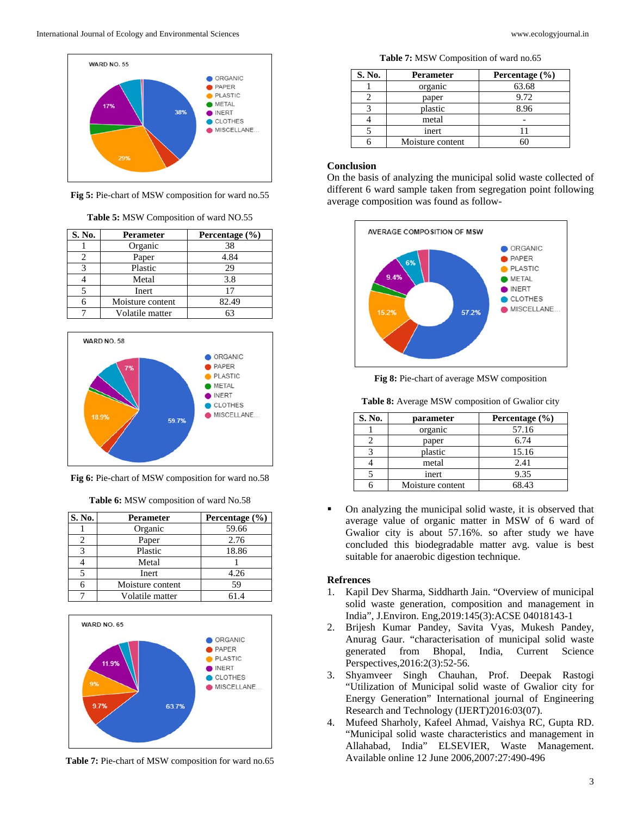

**Fig 5:** Pie-chart of MSW composition for ward no.55

|  | Table 5: MSW Composition of ward NO.55 |
|--|----------------------------------------|
|--|----------------------------------------|

| S. No. | Perameter        | Percentage (%) |
|--------|------------------|----------------|
|        | Organic          | 38             |
|        | Paper            | 4.84           |
|        | Plastic          | 29             |
|        | Metal            | 3.8            |
|        | Inert            |                |
|        | Moisture content | 82.49          |
|        | Volatile matter  |                |



**Fig 6:** Pie-chart of MSW composition for ward no.58

**Table 6:** MSW composition of ward No.58

| S. No. | Perameter        | Percentage (%) |
|--------|------------------|----------------|
|        | Organic          | 59.66          |
|        | Paper            | 2.76           |
|        | Plastic          | 18.86          |
|        | Metal            |                |
|        | Inert            | 4.26           |
|        | Moisture content | 59             |
|        | Volatile matter  | 61.4           |



**Table 7:** Pie-chart of MSW composition for ward no.65

**Table 7:** MSW Composition of ward no.65

| S. No. | Perameter        | Percentage $(\% )$ |
|--------|------------------|--------------------|
|        | organic          | 63.68              |
|        | paper            | 9.72               |
|        | plastic          | 8.96               |
|        | metal            |                    |
|        | inert            |                    |
|        | Moisture content |                    |

#### **Conclusion**

On the basis of analyzing the municipal solid waste collected of different 6 ward sample taken from segregation point following average composition was found as follow-



**Fig 8:** Pie-chart of average MSW composition

**Table 8:** Average MSW composition of Gwalior city

| S. No. | parameter        | Percentage (%) |
|--------|------------------|----------------|
|        | organic          | 57.16          |
|        | paper            | 6.74           |
|        | plastic          | 15.16          |
|        | metal            | 2.41           |
|        | inert            | 9.35           |
|        | Moisture content | 68.43          |

 On analyzing the municipal solid waste, it is observed that average value of organic matter in MSW of 6 ward of Gwalior city is about 57.16%. so after study we have concluded this biodegradable matter avg. value is best suitable for anaerobic digestion technique.

### **Refrences**

- 1. Kapil Dev Sharma, Siddharth Jain. "Overview of municipal solid waste generation, composition and management in India", J.Environ. Eng,2019:145(3):ACSE 04018143-1
- 2. Brijesh Kumar Pandey, Savita Vyas, Mukesh Pandey, Anurag Gaur. "characterisation of municipal solid waste generated from Bhopal, India, Current Science Perspectives,2016:2(3):52-56.
- 3. Shyamveer Singh Chauhan, Prof. Deepak Rastogi "Utilization of Municipal solid waste of Gwalior city for Energy Generation" International journal of Engineering Research and Technology (IJERT)2016:03(07).
- 4. Mufeed Sharholy, Kafeel Ahmad, Vaishya RC, Gupta RD. "Municipal solid waste characteristics and management in Allahabad, India" ELSEVIER, Waste Management. Available online 12 June 2006,2007:27:490-496